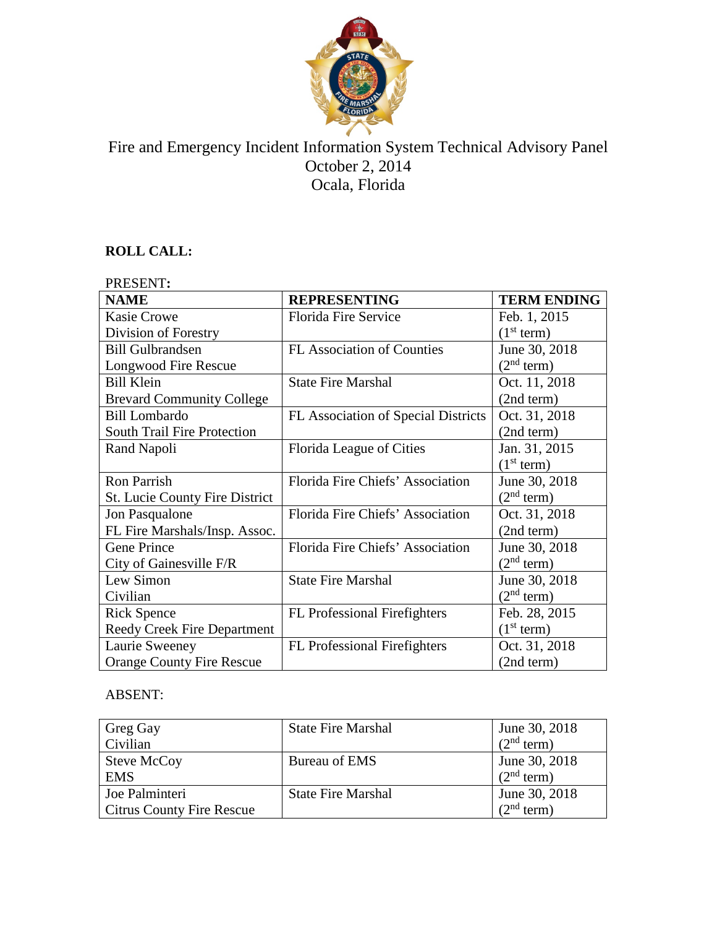

# Fire and Emergency Incident Information System Technical Advisory Panel October 2, 2014 Ocala, Florida

# **ROLL CALL:**

| PRESENT:                              |                                     |                        |  |
|---------------------------------------|-------------------------------------|------------------------|--|
| <b>NAME</b>                           | <b>REPRESENTING</b>                 | <b>TERM ENDING</b>     |  |
| <b>Kasie Crowe</b>                    | <b>Florida Fire Service</b>         | Feb. 1, 2015           |  |
| Division of Forestry                  |                                     | (1 <sup>st</sup> term) |  |
| <b>Bill Gulbrandsen</b>               | <b>FL Association of Counties</b>   | June 30, 2018          |  |
| Longwood Fire Rescue                  |                                     | (2 <sup>nd</sup> term) |  |
| <b>Bill Klein</b>                     | <b>State Fire Marshal</b>           | Oct. 11, 2018          |  |
| <b>Brevard Community College</b>      |                                     | (2nd term)             |  |
| <b>Bill Lombardo</b>                  | FL Association of Special Districts | Oct. 31, 2018          |  |
| South Trail Fire Protection           |                                     | (2nd term)             |  |
| Rand Napoli                           | Florida League of Cities            | Jan. 31, 2015          |  |
|                                       |                                     | (1 <sup>st</sup> term) |  |
| <b>Ron Parrish</b>                    | Florida Fire Chiefs' Association    | June 30, 2018          |  |
| <b>St. Lucie County Fire District</b> |                                     | (2 <sup>nd</sup> term) |  |
| Jon Pasqualone                        | Florida Fire Chiefs' Association    | Oct. 31, 2018          |  |
| FL Fire Marshals/Insp. Assoc.         |                                     | (2nd term)             |  |
| Gene Prince                           | Florida Fire Chiefs' Association    | June 30, 2018          |  |
| City of Gainesville F/R               |                                     | (2 <sup>nd</sup> term) |  |
| Lew Simon                             | <b>State Fire Marshal</b>           | June 30, 2018          |  |
| Civilian                              |                                     | (2 <sup>nd</sup> term) |  |
| <b>Rick Spence</b>                    | <b>FL</b> Professional Firefighters | Feb. 28, 2015          |  |
| <b>Reedy Creek Fire Department</b>    |                                     | (1 <sup>st</sup> term) |  |
| Laurie Sweeney                        | <b>FL</b> Professional Firefighters | Oct. 31, 2018          |  |
| <b>Orange County Fire Rescue</b>      |                                     | (2nd term)             |  |

# ABSENT:

| Greg Gay<br>Civilian                               | <b>State Fire Marshal</b> | June 30, 2018<br>(2 <sup>nd</sup> term) |
|----------------------------------------------------|---------------------------|-----------------------------------------|
| Steve McCoy<br><b>EMS</b>                          | Bureau of EMS             | June 30, 2018<br>(2 <sup>nd</sup> term) |
| Joe Palminteri<br><b>Citrus County Fire Rescue</b> | <b>State Fire Marshal</b> | June 30, 2018<br>$2nd$ term)            |